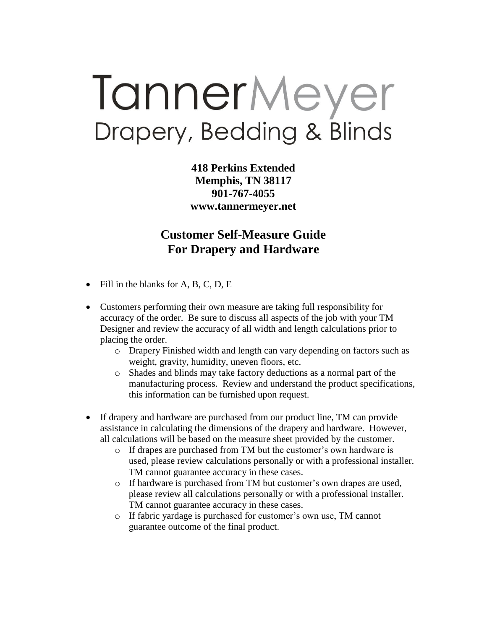# TannerMeyer Drapery, Bedding & Blinds

**418 Perkins Extended Memphis, TN 38117 901-767-4055 www.tannermeyer.net**

## **Customer Self-Measure Guide For Drapery and Hardware**

- $\bullet$  Fill in the blanks for A, B, C, D, E
- Customers performing their own measure are taking full responsibility for accuracy of the order. Be sure to discuss all aspects of the job with your TM Designer and review the accuracy of all width and length calculations prior to placing the order.
	- o Drapery Finished width and length can vary depending on factors such as weight, gravity, humidity, uneven floors, etc.
	- o Shades and blinds may take factory deductions as a normal part of the manufacturing process. Review and understand the product specifications, this information can be furnished upon request.
- If drapery and hardware are purchased from our product line, TM can provide assistance in calculating the dimensions of the drapery and hardware. However, all calculations will be based on the measure sheet provided by the customer.
	- o If drapes are purchased from TM but the customer's own hardware is used, please review calculations personally or with a professional installer. TM cannot guarantee accuracy in these cases.
	- o If hardware is purchased from TM but customer's own drapes are used, please review all calculations personally or with a professional installer. TM cannot guarantee accuracy in these cases.
	- o If fabric yardage is purchased for customer's own use, TM cannot guarantee outcome of the final product.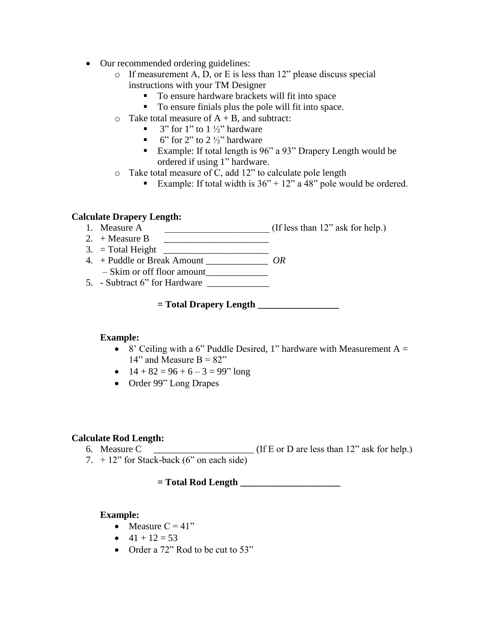- Our recommended ordering guidelines:
	- $\circ$  If measurement A, D, or E is less than 12" please discuss special instructions with your TM Designer
		- To ensure hardware brackets will fit into space
		- To ensure finials plus the pole will fit into space.
	- $\circ$  Take total measure of  $A + B$ , and subtract:
		- $\blacksquare$  3" for 1" to 1  $\frac{1}{2}$ " hardware
		- $\bullet$  6" for 2" to 2  $\frac{1}{2}$ " hardware
		- Example: If total length is 96" a 93" Drapery Length would be ordered if using 1" hardware.
	- o Take total measure of C, add 12" to calculate pole length
		- Example: If total width is  $36'' + 12''$  a 48" pole would be ordered.

### **Calculate Drapery Length:**

- 1. Measure A  $\qquad \qquad$  (If less than 12" ask for help.)
- 2. + Measure B  $\qquad \qquad$
- $3. = Total Height$
- 4. + Puddle or Break Amount \_\_\_\_\_\_\_\_\_\_\_\_\_ *OR*
- Skim or off floor amount\_\_\_\_\_\_\_\_\_\_\_\_\_ 5. - Subtract 6" for Hardware \_\_\_\_\_\_\_\_\_\_\_\_\_

**= Total Drapery Length \_\_\_\_\_\_\_\_\_\_\_\_\_\_\_\_\_**

#### **Example:**

- 8' Ceiling with a 6" Puddle Desired, 1" hardware with Measurement  $A =$ 14" and Measure  $B = 82"$
- $\bullet$  14 + 82 = 96 + 6 3 = 99" long
- Order 99" Long Drapes

#### **Calculate Rod Length:**

- 6. Measure C  $\overline{\phantom{a}}$  (If E or D are less than 12" ask for help.)
- 7.  $+12$ " for Stack-back (6" on each side)

**= Total Rod Length \_\_\_\_\_\_\_\_\_\_\_\_\_\_\_\_\_\_\_\_\_**

#### **Example:**

- Measure  $C = 41$ "
- $-41 + 12 = 53$
- Order a 72" Rod to be cut to 53"